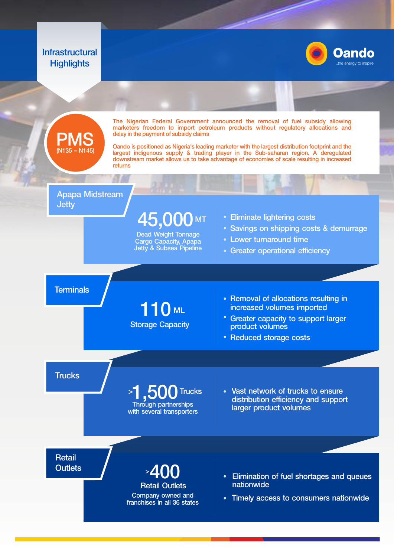## **Infrastructural Highlights**





The Nigerian Federal Government announced the removal of fuel subsidy allowing marketers freedom to import petroleum products without regulatory allocations and delay in the payment of subsidy claims

Oando is positioned as Nigeria's leading marketer with the largest distribution footprint and the largest indigenous supply & trading player in the Sub-saharan region. A deregulated downstream market allows us to take advantage of economies of scale resulting in increased returns

#### Apapa Midstream **Jetty**

 $45,000$  MT  $\,$   $\cdot$  Eliminate lightering costs MT

Dead Weight Tonnage Cargo Capacity, Apapa Jetty & Subsea Pipeline

- 
- Savings on shipping costs & demurrage
- Lower turnaround time
- Greater operational efficiency